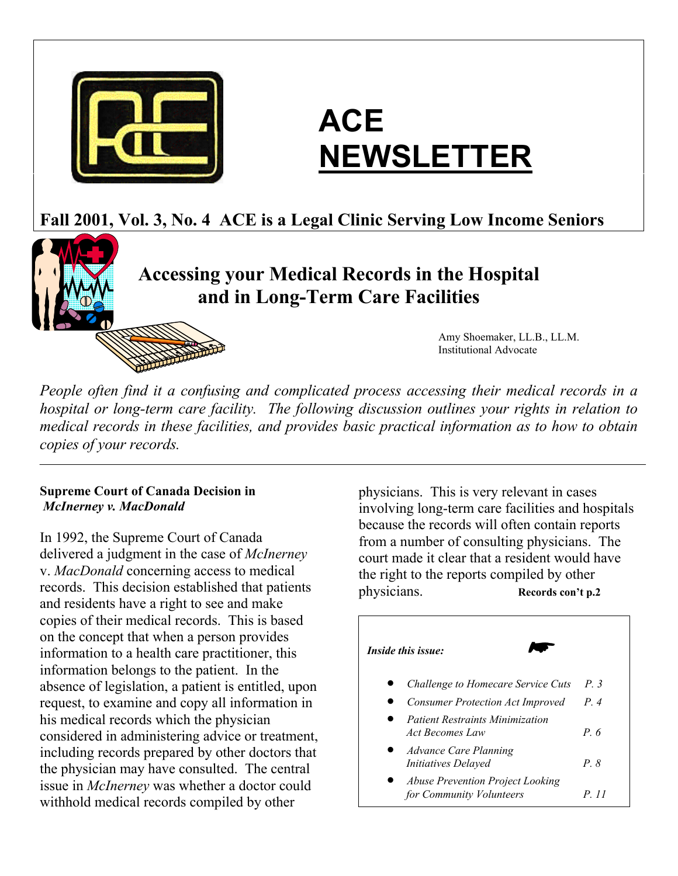

# **ACE NEWSLETTER**

## **Fall 2001, Vol. 3, No. 4 ACE is a Legal Clinic Serving Low Income Seniors**

## **Accessing your Medical Records in the Hospital and in Long-Term Care Facilities**

 Amy Shoemaker, LL.B., LL.M. Institutional Advocate

*People often find it a confusing and complicated process accessing their medical records in a hospital or long-term care facility. The following discussion outlines your rights in relation to medical records in these facilities, and provides basic practical information as to how to obtain copies of your records.* 

#### **Supreme Court of Canada Decision in**  *McInerney v. MacDonald*

In 1992, the Supreme Court of Canada delivered a judgment in the case of *McInerney* v. *MacDonald* concerning access to medical records. This decision established that patients and residents have a right to see and make copies of their medical records. This is based on the concept that when a person provides information to a health care practitioner, this information belongs to the patient. In the absence of legislation, a patient is entitled, upon request, to examine and copy all information in his medical records which the physician considered in administering advice or treatment, including records prepared by other doctors that the physician may have consulted. The central issue in *McInerney* was whether a doctor could withhold medical records compiled by other

physicians. This is very relevant in cases involving long-term care facilities and hospitals because the records will often contain reports from a number of consulting physicians. The court made it clear that a resident would have the right to the reports compiled by other physicians. **Records con't p.2**

#### *Inside this issue:*  • • • *Patient Restraints Minimization* • *Advance Care Planning* • *Challenge to Homecare Service Cuts P. 3 Consumer Protection Act Improved P. 4 Act Becomes Law P. 6 Initiatives Delayed P. 8 Abuse Prevention Project Looking for Community Volunteers P. 11*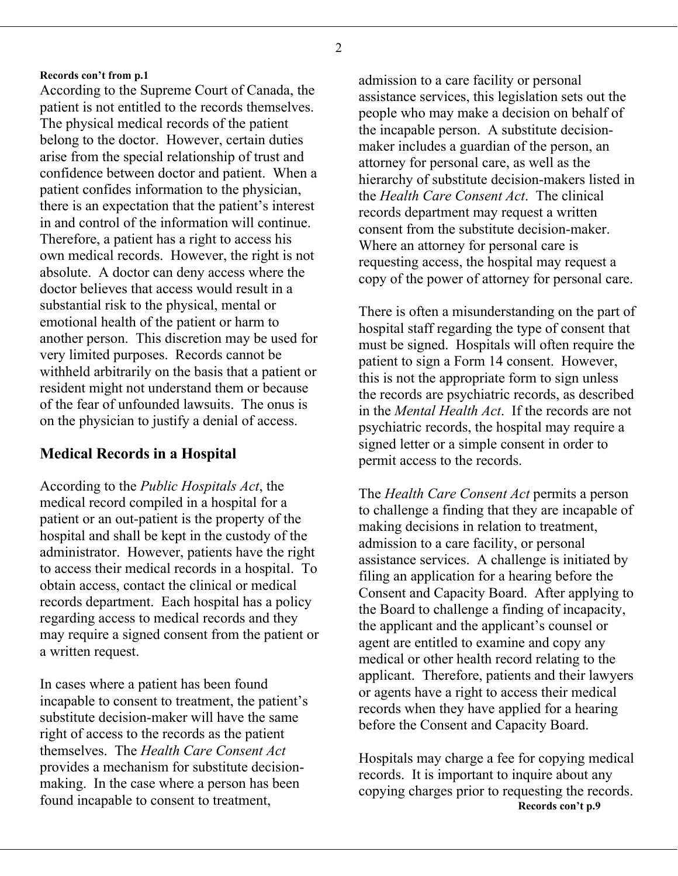According to the Supreme Court of Canada, the patient is not entitled to the records themselves. The physical medical records of the patient belong to the doctor. However, certain duties arise from the special relationship of trust and confidence between doctor and patient. When a patient confides information to the physician, there is an expectation that the patient's interest in and control of the information will continue. Therefore, a patient has a right to access his own medical records. However, the right is not absolute. A doctor can deny access where the doctor believes that access would result in a substantial risk to the physical, mental or emotional health of the patient or harm to another person. This discretion may be used for very limited purposes. Records cannot be withheld arbitrarily on the basis that a patient or resident might not understand them or because of the fear of unfounded lawsuits. The onus is on the physician to justify a denial of access.

According to the *Public Hospitals Act*, the medical record compiled in a hospital for a patient or an out-patient is the property of the hospital and shall be kept in the custody of the administrator. However, patients have the right to access their medical records in a hospital. To obtain access, contact the clinical or medical records department. Each hospital has a policy regarding access to medical records and they may require a signed consent from the patient or a written request.

In cases where a patient has been found incapable to consent to treatment, the patient's substitute decision-maker will have the same right of access to the records as the patient themselves. The *Health Care Consent Act*  provides a mechanism for substitute decisionmaking. In the case where a person has been found incapable to consent to treatment,

**Records con't from p.1** admission to a care facility or personal assistance services, this legislation sets out the people who may make a decision on behalf of the incapable person. A substitute decisionmaker includes a guardian of the person, an attorney for personal care, as well as the hierarchy of substitute decision-makers listed in the *Health Care Consent Act*. The clinical records department may request a written consent from the substitute decision-maker. Where an attorney for personal care is requesting access, the hospital may request a copy of the power of attorney for personal care.

There is often a misunderstanding on the part of hospital staff regarding the type of consent that must be signed. Hospitals will often require the patient to sign a Form 14 consent. However, this is not the appropriate form to sign unless the records are psychiatric records, as described in the *Mental Health Act*. If the records are not psychiatric records, the hospital may require a **Solution Medical Records in a Hospital** signed letter or a simple consent in order to permit access to the records.

> The *Health Care Consent Act* permits a person to challenge a finding that they are incapable of making decisions in relation to treatment, admission to a care facility, or personal assistance services. A challenge is initiated by filing an application for a hearing before the Consent and Capacity Board. After applying to the Board to challenge a finding of incapacity, the applicant and the applicant's counsel or agent are entitled to examine and copy any medical or other health record relating to the applicant. Therefore, patients and their lawyers or agents have a right to access their medical records when they have applied for a hearing before the Consent and Capacity Board.

> Hospitals may charge a fee for copying medical records. It is important to inquire about any copying charges prior to requesting the records. **Records con't p.9**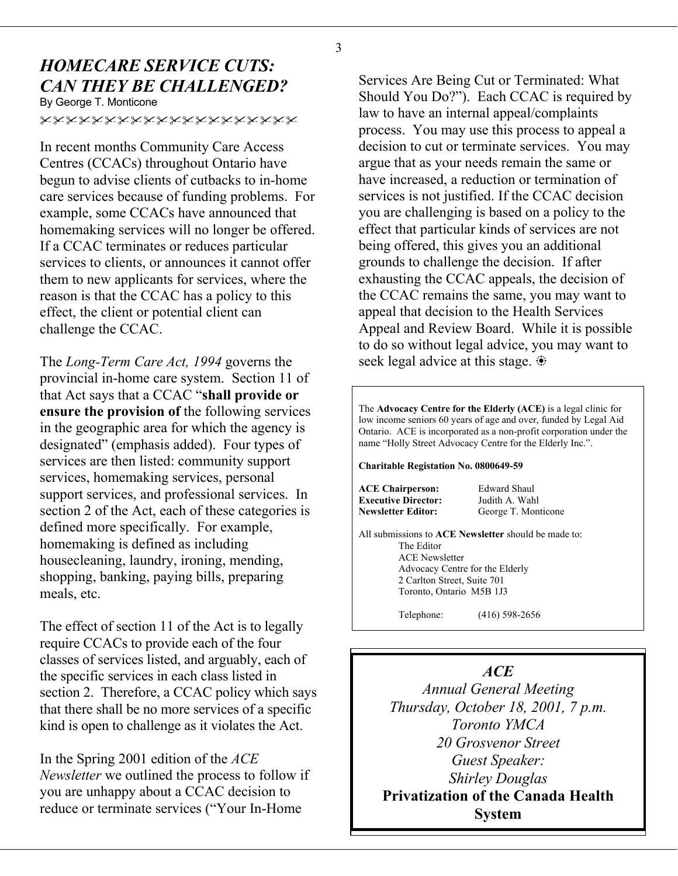# *HOMECARE SERVICE CUTS:*

By George T. Monticone

xxxxxxxxxxxxxxxxxxxx

In recent months Community Care Access Centres (CCACs) throughout Ontario have begun to advise clients of cutbacks to in-home care services because of funding problems. For example, some CCACs have announced that homemaking services will no longer be offered. If a CCAC terminates or reduces particular services to clients, or announces it cannot offer them to new applicants for services, where the reason is that the CCAC has a policy to this effect, the client or potential client can challenge the CCAC.

The *Long-Term Care Act, 1994* governs the provincial in-home care system. Section 11 of that Act says that a CCAC "**shall provide or ensure the provision of** the following services in the geographic area for which the agency is designated" (emphasis added). Four types of services are then listed: community support services, homemaking services, personal support services, and professional services. In section 2 of the Act, each of these categories is defined more specifically. For example, homemaking is defined as including housecleaning, laundry, ironing, mending, shopping, banking, paying bills, preparing meals, etc.

The effect of section 11 of the Act is to legally require CCACs to provide each of the four classes of services listed, and arguably, each of the specific services in each class listed in section 2. Therefore, a CCAC policy which says that there shall be no more services of a specific kind is open to challenge as it violates the Act.

In the Spring 2001 edition of the *ACE Newsletter* we outlined the process to follow if you are unhappy about a CCAC decision to reduce or terminate services ("Your In-Home

**CAN THEY BE CHALLENGED?** Services Are Being Cut or Terminated: What **Should You Do?**"). Each CCAC is required by law to have an internal appeal/complaints process. You may use this process to appeal a decision to cut or terminate services. You may argue that as your needs remain the same or have increased, a reduction or termination of services is not justified. If the CCAC decision you are challenging is based on a policy to the effect that particular kinds of services are not being offered, this gives you an additional grounds to challenge the decision. If after exhausting the CCAC appeals, the decision of the CCAC remains the same, you may want to appeal that decision to the Health Services Appeal and Review Board. While it is possible to do so without legal advice, you may want to seek legal advice at this stage.

> The **Advocacy Centre for the Elderly (ACE)** is a legal clinic for low income seniors 60 years of age and over, funded by Legal Aid Ontario. ACE is incorporated as a non-profit corporation under the name "Holly Street Advocacy Centre for the Elderly Inc.".

**Charitable Registation No. 0800649-59** 

**ACE Chairperson:** Edward Shaul **Executive Director:** Judith A. Wahl **Newsletter Editor:** George T. Monticone

All submissions to **ACE Newsletter** should be made to:

 The Editor ACE Newsletter Advocacy Centre for the Elderly 2 Carlton Street, Suite 701 Toronto, Ontario M5B 1J3

Telephone: (416) 598-2656

#### *ACE*

*Annual General Meeting Thursday, October 18, 2001, 7 p.m. Toronto YMCA 20 Grosvenor Street Guest Speaker: Shirley Douglas*  **Privatization of the Canada Health System**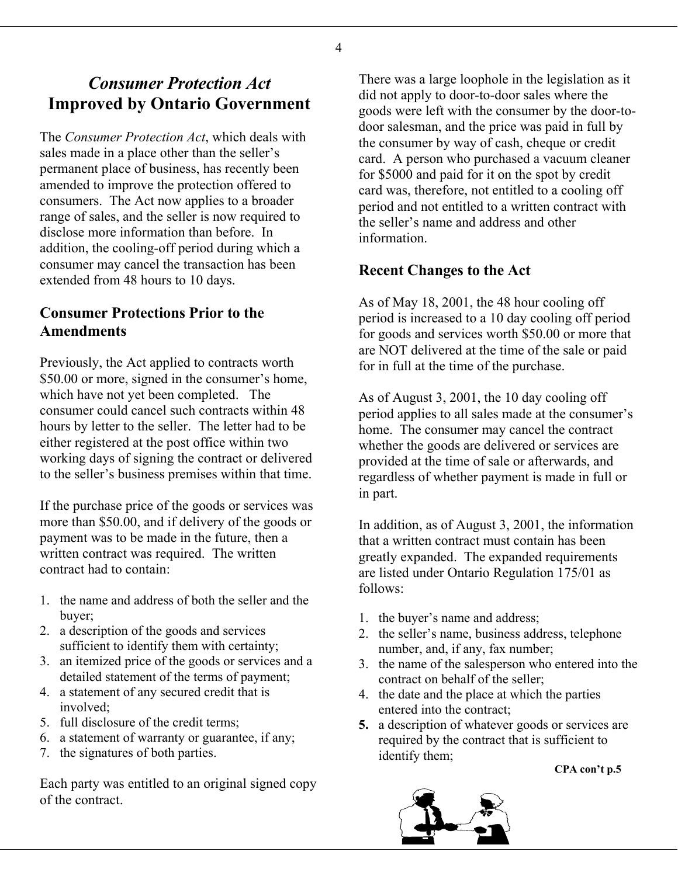### *Consumer Protection Act*  **Improved by Ontario Government**

The *Consumer Protection Act*, which deals with sales made in a place other than the seller's permanent place of business, has recently been amended to improve the protection offered to consumers. The Act now applies to a broader range of sales, and the seller is now required to disclose more information than before. In addition, the cooling-off period during which a consumer may cancel the transaction has been extended from 48 hours to 10 days. **Recent Changes to the Act** 

### **Consumer Protections Prior to the Amendments**

Previously, the Act applied to contracts worth \$50.00 or more, signed in the consumer's home, which have not yet been completed. The consumer could cancel such contracts within 48 hours by letter to the seller. The letter had to be either registered at the post office within two working days of signing the contract or delivered to the seller's business premises within that time.

If the purchase price of the goods or services was more than \$50.00, and if delivery of the goods or payment was to be made in the future, then a written contract was required. The written contract had to contain:

- 1. the name and address of both the seller and the buyer; https://www.fareneur.com/size-text/size-text/size-text/size-text/size-text/size-text/size-text/size-text/size-text/size-text/size-text/size-text/size-text/size-text/size-text/size-text/size-text/size-text/size-text/
- 2. a description of the goods and services sufficient to identify them with certainty;
- 3. an itemized price of the goods or services and a detailed statement of the terms of payment;
- 4. a statement of any secured credit that is involved;
- 
- 6. a statement of warranty or guarantee, if any;
- 7. the signatures of both parties.

Each party was entitled to an original signed copy of the contract.

There was a large loophole in the legislation as it did not apply to door-to-door sales where the goods were left with the consumer by the door-todoor salesman, and the price was paid in full by the consumer by way of cash, cheque or credit card. A person who purchased a vacuum cleaner for \$5000 and paid for it on the spot by credit card was, therefore, not entitled to a cooling off period and not entitled to a written contract with the seller's name and address and other information.

As of May 18, 2001, the 48 hour cooling off period is increased to a 10 day cooling off period for goods and services worth \$50.00 or more that are NOT delivered at the time of the sale or paid for in full at the time of the purchase.

As of August 3, 2001, the 10 day cooling off period applies to all sales made at the consumer's home. The consumer may cancel the contract whether the goods are delivered or services are provided at the time of sale or afterwards, and regardless of whether payment is made in full or in part.

In addition, as of August 3, 2001, the information that a written contract must contain has been greatly expanded. The expanded requirements are listed under Ontario Regulation 175/01 as follows:

- 
- 2. the seller's name, business address, telephone number, and, if any, fax number;
- 3. the name of the salesperson who entered into the contract on behalf of the seller;
- 4. the date and the place at which the parties entered into the contract;
- 5. full disclosure of the credit terms; **5.** a description of whatever goods or services are required by the contract that is sufficient to identify them;

**CPA con't p.5**

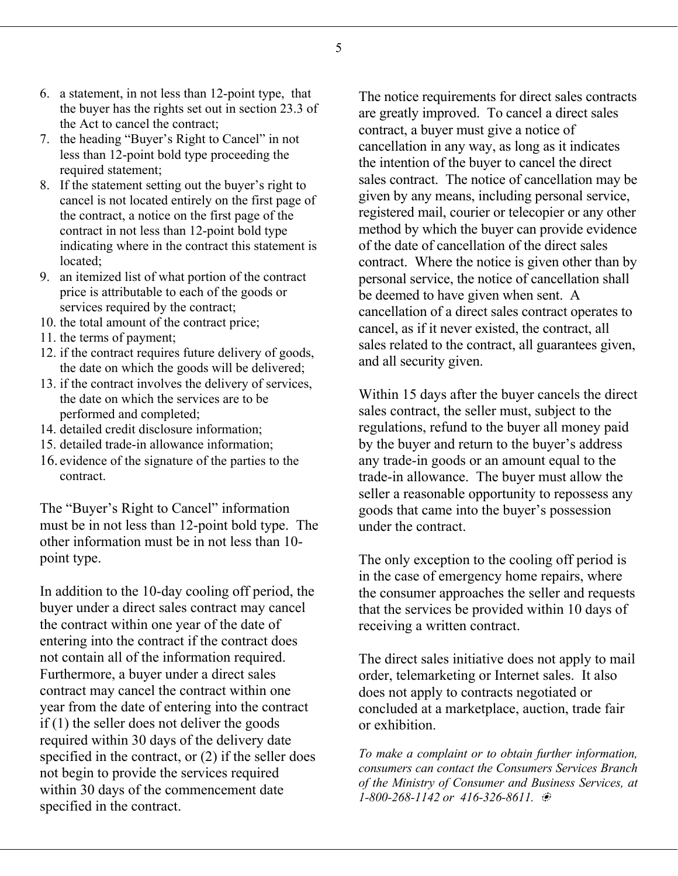- 6. a statement, in not less than 12-point type, that the buyer has the rights set out in section 23.3 of the Act to cancel the contract;
- 7. the heading "Buyer's Right to Cancel" in not less than 12-point bold type proceeding the required statement;
- 8. If the statement setting out the buyer's right to cancel is not located entirely on the first page of the contract, a notice on the first page of the contract in not less than 12-point bold type indicating where in the contract this statement is located;
- 9. an itemized list of what portion of the contract price is attributable to each of the goods or services required by the contract;
- 10. the total amount of the contract price;
- 11. the terms of payment;
- 12. if the contract requires future delivery of goods, the date on which the goods will be delivered;
- 13. if the contract involves the delivery of services, the date on which the services are to be performed and completed;
- 14. detailed credit disclosure information;
- 15. detailed trade-in allowance information;
- 16. evidence of the signature of the parties to the contract.

The "Buyer's Right to Cancel" information must be in not less than 12-point bold type. The other information must be in not less than 10 point type. The only exception to the cooling off period is

In addition to the 10-day cooling off period, the buyer under a direct sales contract may cancel the contract within one year of the date of entering into the contract if the contract does not contain all of the information required. Furthermore, a buyer under a direct sales contract may cancel the contract within one year from the date of entering into the contract if (1) the seller does not deliver the goods required within 30 days of the delivery date specified in the contract, or (2) if the seller does not begin to provide the services required within 30 days of the commencement date specified in the contract.

The notice requirements for direct sales contracts are greatly improved. To cancel a direct sales contract, a buyer must give a notice of cancellation in any way, as long as it indicates the intention of the buyer to cancel the direct sales contract. The notice of cancellation may be given by any means, including personal service, registered mail, courier or telecopier or any other method by which the buyer can provide evidence of the date of cancellation of the direct sales contract. Where the notice is given other than by personal service, the notice of cancellation shall be deemed to have given when sent. A cancellation of a direct sales contract operates to cancel, as if it never existed, the contract, all sales related to the contract, all guarantees given, and all security given.

Within 15 days after the buyer cancels the direct sales contract, the seller must, subject to the regulations, refund to the buyer all money paid by the buyer and return to the buyer's address any trade-in goods or an amount equal to the trade-in allowance. The buyer must allow the seller a reasonable opportunity to repossess any goods that came into the buyer's possession under the contract.

in the case of emergency home repairs, where the consumer approaches the seller and requests that the services be provided within 10 days of receiving a written contract.

The direct sales initiative does not apply to mail order, telemarketing or Internet sales. It also does not apply to contracts negotiated or concluded at a marketplace, auction, trade fair or exhibition.

*To make a complaint or to obtain further information, consumers can contact the Consumers Services Branch of the Ministry of Consumer and Business Services, at 1-800-268-1142 or 416-326-8611.* E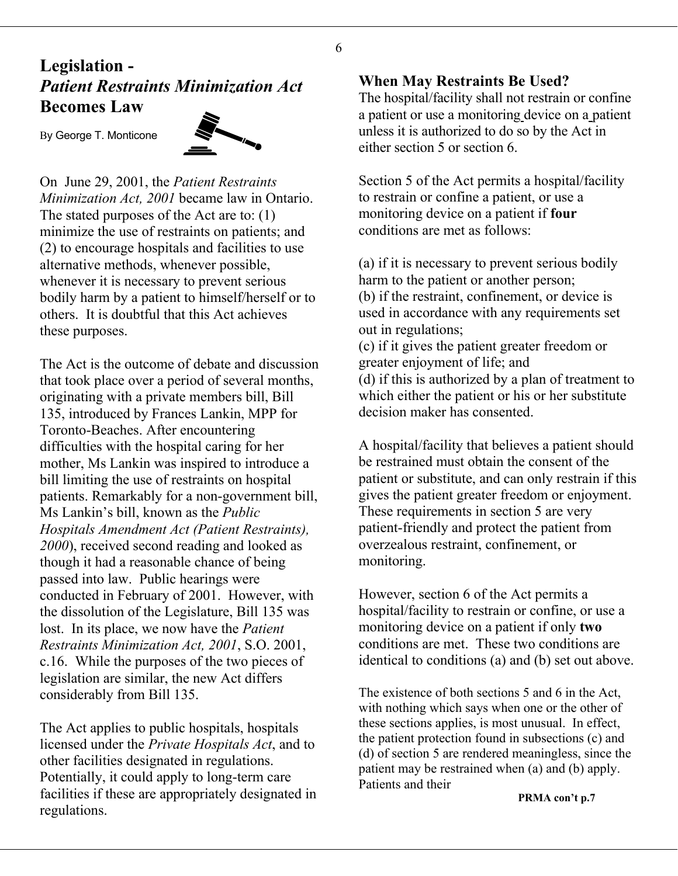#### 6

# **Legislation - When May Restraints Be Used?** *Patient Restraints Minimization Act*

By George T. Monticone



On June 29, 2001, the *Patient Restraints Minimization Act, 2001* became law in Ontario. The stated purposes of the Act are to: (1) minimize the use of restraints on patients; and (2) to encourage hospitals and facilities to use alternative methods, whenever possible, whenever it is necessary to prevent serious bodily harm by a patient to himself/herself or to others. It is doubtful that this Act achieves these purposes.

The Act is the outcome of debate and discussion greater enjoyment of life; and that took place over a period of several months, originating with a private members bill, Bill 135, introduced by Frances Lankin, MPP for Toronto-Beaches. After encountering difficulties with the hospital caring for her mother, Ms Lankin was inspired to introduce a bill limiting the use of restraints on hospital patients. Remarkably for a non-government bill, Ms Lankin's bill, known as the *Public Hospitals Amendment Act (Patient Restraints), 2000*), received second reading and looked as though it had a reasonable chance of being passed into law. Public hearings were conducted in February of 2001. However, with the dissolution of the Legislature, Bill 135 was lost. In its place, we now have the *Patient Restraints Minimization Act, 2001*, S.O. 2001, c.16. While the purposes of the two pieces of legislation are similar, the new Act differs considerably from Bill 135.

The Act applies to public hospitals, hospitals licensed under the *Private Hospitals Act*, and to other facilities designated in regulations. Potentially, it could apply to long-term care facilities if these are appropriately designated in regulations.

**Becomes Law Becomes** Law **The hospital/facility shall not restrain or confine** a patient or use a monitoring device on a patient unless it is authorized to do so by the Act in either section 5 or section 6.

> Section 5 of the Act permits a hospital/facility to restrain or confine a patient, or use a monitoring device on a patient if **four** conditions are met as follows:

(a) if it is necessary to prevent serious bodily harm to the patient or another person; (b) if the restraint, confinement, or device is used in accordance with any requirements set out in regulations; (c) if it gives the patient greater freedom or (d) if this is authorized by a plan of treatment to which either the patient or his or her substitute decision maker has consented.

A hospital/facility that believes a patient should be restrained must obtain the consent of the patient or substitute, and can only restrain if this gives the patient greater freedom or enjoyment. These requirements in section 5 are very patient-friendly and protect the patient from overzealous restraint, confinement, or monitoring.

However, section 6 of the Act permits a hospital/facility to restrain or confine, or use a monitoring device on a patient if only **two** conditions are met. These two conditions are identical to conditions (a) and (b) set out above.

The existence of both sections 5 and 6 in the Act, with nothing which says when one or the other of these sections applies, is most unusual. In effect, the patient protection found in subsections (c) and (d) of section 5 are rendered meaningless, since the patient may be restrained when (a) and (b) apply. Patients and their

**PRMA con't p.7**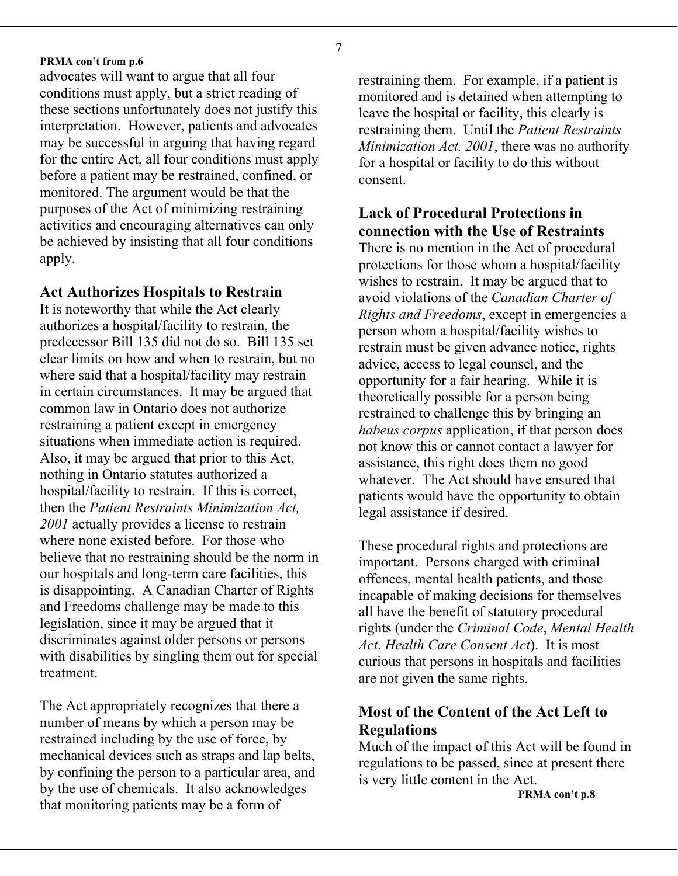7

#### **PRMA con't from p.6**

advocates will want to argue that all four restraining them. For example, if a patient is conditions must apply, but a strict reading of these sections unfortunately does not justify this interpretation. However, patients and advocates may be successful in arguing that having regard for the entire Act, all four conditions must apply before a patient may be restrained, confined, or monitored. The argument would be that the purposes of the Act of minimizing restraining activities and encouraging alternatives can only be achieved by insisting that all four conditions apply.

#### **Act Authorizes Hospitals to Restrain**

It is noteworthy that while the Act clearly authorizes a hospital/facility to restrain, the predecessor Bill 135 did not do so. Bill 135 set clear limits on how and when to restrain, but no where said that a hospital/facility may restrain in certain circumstances. It may be argued that common law in Ontario does not authorize restraining a patient except in emergency situations when immediate action is required. Also, it may be argued that prior to this Act, nothing in Ontario statutes authorized a hospital/facility to restrain. If this is correct, then the *Patient Restraints Minimization Act, 2001* actually provides a license to restrain where none existed before. For those who believe that no restraining should be the norm in our hospitals and long-term care facilities, this is disappointing. A Canadian Charter of Rights and Freedoms challenge may be made to this legislation, since it may be argued that it discriminates against older persons or persons with disabilities by singling them out for special treatment.

The Act appropriately recognizes that there a number of means by which a person may be restrained including by the use of force, by mechanical devices such as straps and lap belts, by confining the person to a particular area, and by the use of chemicals. It also acknowledges that monitoring patients may be a form of

monitored and is detained when attempting to leave the hospital or facility, this clearly is restraining them. Until the *Patient Restraints Minimization Act, 2001*, there was no authority for a hospital or facility to do this without consent.

#### **Lack of Procedural Protections in connection with the Use of Restraints**

There is no mention in the Act of procedural protections for those whom a hospital/facility wishes to restrain. It may be argued that to avoid violations of the *Canadian Charter of Rights and Freedoms*, except in emergencies a person whom a hospital/facility wishes to restrain must be given advance notice, rights advice, access to legal counsel, and the opportunity for a fair hearing. While it is theoretically possible for a person being restrained to challenge this by bringing an *habeus corpus* application, if that person does not know this or cannot contact a lawyer for assistance, this right does them no good whatever. The Act should have ensured that patients would have the opportunity to obtain legal assistance if desired.

These procedural rights and protections are important. Persons charged with criminal offences, mental health patients, and those incapable of making decisions for themselves all have the benefit of statutory procedural rights (under the *Criminal Code*, *Mental Health Act*, *Health Care Consent Act*). It is most curious that persons in hospitals and facilities are not given the same rights.

#### **Most of the Content of the Act Left to Regulations**

Much of the impact of this Act will be found in regulations to be passed, since at present there is very little content in the Act.

**PRMA con't p.8**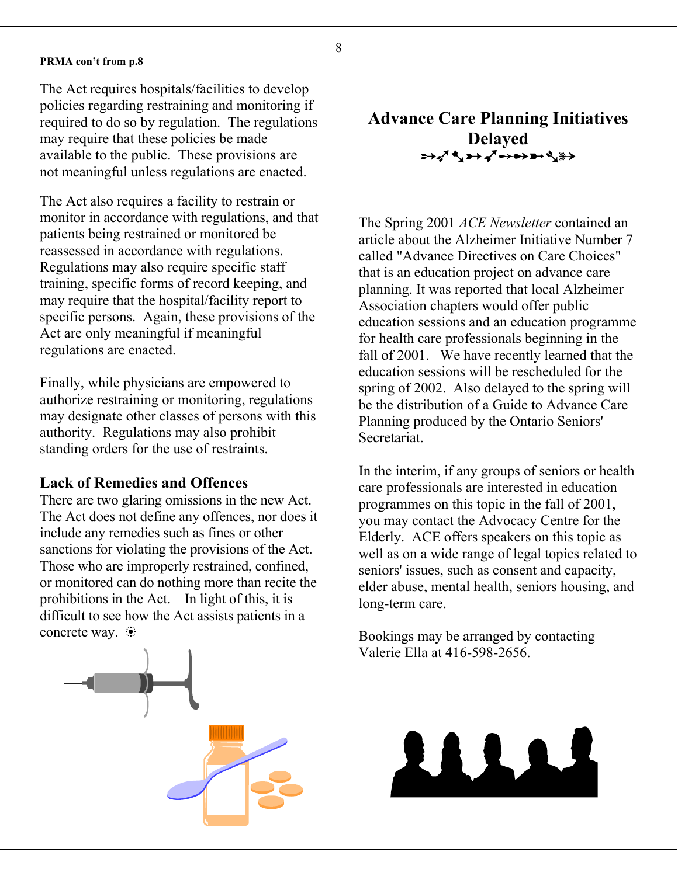#### **PRMA con't from p.8**

The Act requires hospitals/facilities to develop policies regarding restraining and monitoring if required to do so by regulation. The regulations may require that these policies be made available to the public. These provisions are not meaningful unless regulations are enacted.

The Act also requires a facility to restrain or monitor in accordance with regulations, and that patients being restrained or monitored be reassessed in accordance with regulations. Regulations may also require specific staff training, specific forms of record keeping, and may require that the hospital/facility report to specific persons. Again, these provisions of the Act are only meaningful if meaningful regulations are enacted.

Finally, while physicians are empowered to authorize restraining or monitoring, regulations may designate other classes of persons with this authority. Regulations may also prohibit standing orders for the use of restraints.

#### **Lack of Remedies and Offences**

There are two glaring omissions in the new Act. The Act does not define any offences, nor does it include any remedies such as fines or other sanctions for violating the provisions of the Act. Those who are improperly restrained, confined, or monitored can do nothing more than recite the prohibitions in the Act. In light of this, it is difficult to see how the Act assists patients in a concrete way.  $\bullet$  Bookings may be arranged by contacting



### **Advance Care Planning Initiatives Delayed** <del>⋍</del>₩₫₹<del>₩</del>€€∰<del>≯</del>

The Spring 2001 *ACE Newsletter* contained an article about the Alzheimer Initiative Number 7 called "Advance Directives on Care Choices" that is an education project on advance care planning. It was reported that local Alzheimer Association chapters would offer public education sessions and an education programme for health care professionals beginning in the fall of 2001. We have recently learned that the education sessions will be rescheduled for the spring of 2002. Also delayed to the spring will be the distribution of a Guide to Advance Care Planning produced by the Ontario Seniors' Secretariat.

 In the interim, if any groups of seniors or health care professionals are interested in education programmes on this topic in the fall of 2001, you may contact the Advocacy Centre for the Elderly. ACE offers speakers on this topic as well as on a wide range of legal topics related to seniors' issues, such as consent and capacity, elder abuse, mental health, seniors housing, and long-term care.

Valerie Ella at 416-598-2656.

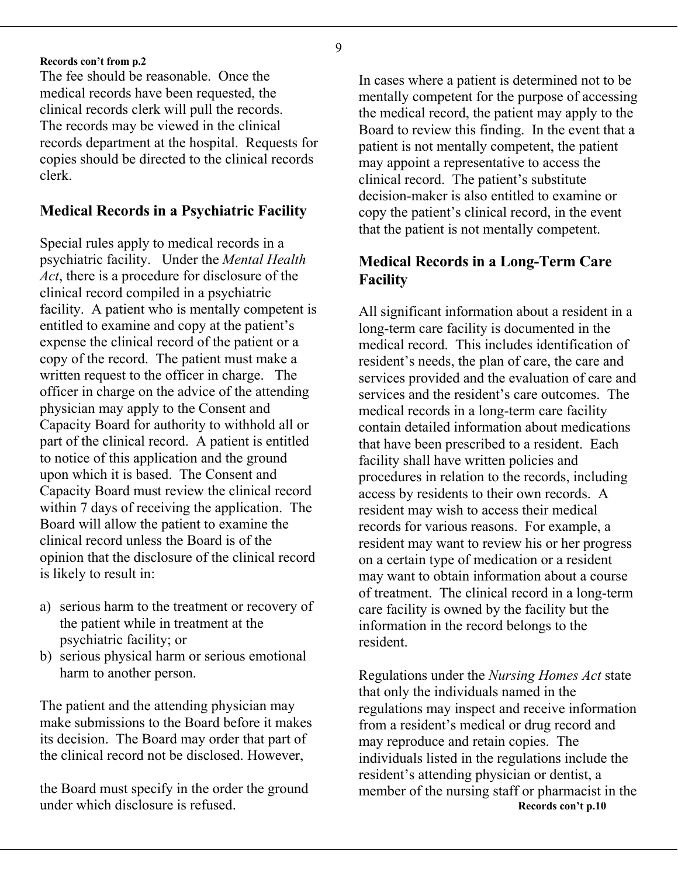#### **Records con't from p.2**

The fee should be reasonable. Once the medical records have been requested, the clinical records clerk will pull the records. The records may be viewed in the clinical records department at the hospital. Requests for copies should be directed to the clinical records clerk.

#### **Medical Records in a Psychiatric Facility**

Special rules apply to medical records in a psychiatric facility. Under the *Mental Health Act*, there is a procedure for disclosure of the clinical record compiled in a psychiatric facility. A patient who is mentally competent is entitled to examine and copy at the patient's expense the clinical record of the patient or a copy of the record. The patient must make a written request to the officer in charge. The officer in charge on the advice of the attending physician may apply to the Consent and Capacity Board for authority to withhold all or part of the clinical record. A patient is entitled to notice of this application and the ground upon which it is based. The Consent and Capacity Board must review the clinical record within 7 days of receiving the application. The Board will allow the patient to examine the clinical record unless the Board is of the opinion that the disclosure of the clinical record is likely to result in:

- a) serious harm to the treatment or recovery of the patient while in treatment at the psychiatric facility; or
- b) serious physical harm or serious emotional harm to another person. Regulations under the *Nursing Homes Act* state

The patient and the attending physician may make submissions to the Board before it makes its decision. The Board may order that part of the clinical record not be disclosed. However,

the Board must specify in the order the ground

In cases where a patient is determined not to be mentally competent for the purpose of accessing the medical record, the patient may apply to the Board to review this finding. In the event that a patient is not mentally competent, the patient may appoint a representative to access the clinical record. The patient's substitute decision-maker is also entitled to examine or copy the patient's clinical record, in the event that the patient is not mentally competent.

#### **Medical Records in a Long-Term Care Facility**

All significant information about a resident in a long-term care facility is documented in the medical record. This includes identification of resident's needs, the plan of care, the care and services provided and the evaluation of care and services and the resident's care outcomes. The medical records in a long-term care facility contain detailed information about medications that have been prescribed to a resident. Each facility shall have written policies and procedures in relation to the records, including access by residents to their own records. A resident may wish to access their medical records for various reasons. For example, a resident may want to review his or her progress on a certain type of medication or a resident may want to obtain information about a course of treatment. The clinical record in a long-term care facility is owned by the facility but the information in the record belongs to the resident.

that only the individuals named in the regulations may inspect and receive information from a resident's medical or drug record and may reproduce and retain copies. The individuals listed in the regulations include the resident's attending physician or dentist, a the Board must specify in the order the ground member of the nursing staff or pharmacist in the under which disclosure is refused.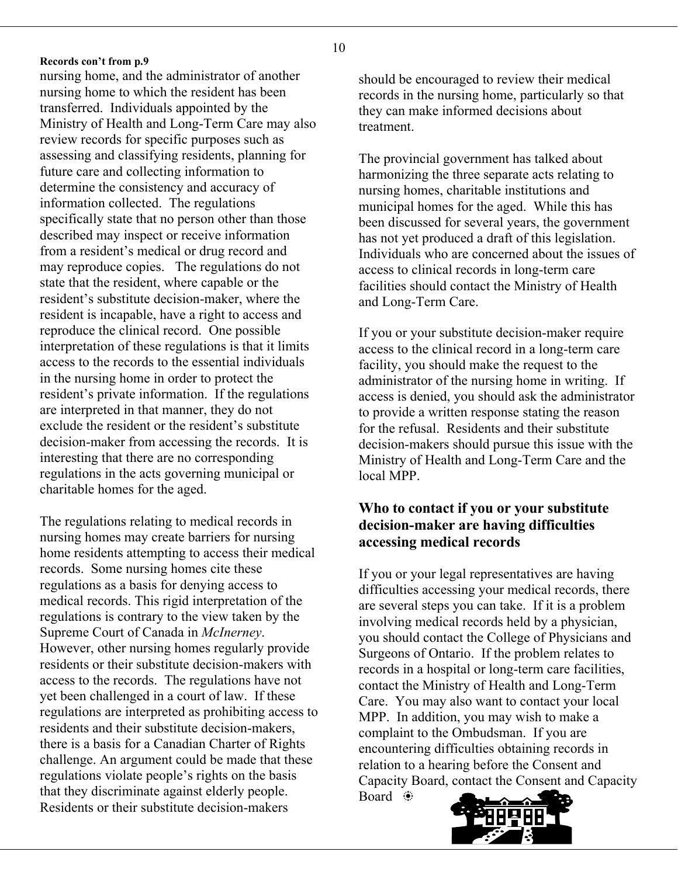**Records con't from p.9**

nursing home, and the administrator of another nursing home to which the resident has been transferred. Individuals appointed by the Ministry of Health and Long-Term Care may also review records for specific purposes such as assessing and classifying residents, planning for future care and collecting information to determine the consistency and accuracy of information collected. The regulations specifically state that no person other than those described may inspect or receive information from a resident's medical or drug record and may reproduce copies. The regulations do not state that the resident, where capable or the resident's substitute decision-maker, where the resident is incapable, have a right to access and reproduce the clinical record. One possible interpretation of these regulations is that it limits access to the records to the essential individuals in the nursing home in order to protect the resident's private information. If the regulations are interpreted in that manner, they do not exclude the resident or the resident's substitute decision-maker from accessing the records. It is interesting that there are no corresponding regulations in the acts governing municipal or charitable homes for the aged.

The regulations relating to medical records in nursing homes may create barriers for nursing home residents attempting to access their medical records. Some nursing homes cite these regulations as a basis for denying access to medical records. This rigid interpretation of the regulations is contrary to the view taken by the Supreme Court of Canada in *McInerney*. However, other nursing homes regularly provide residents or their substitute decision-makers with access to the records. The regulations have not yet been challenged in a court of law. If these regulations are interpreted as prohibiting access to residents and their substitute decision-makers, there is a basis for a Canadian Charter of Rights challenge. An argument could be made that these regulations violate people's rights on the basis that they discriminate against elderly people. Residents or their substitute decision-makers

should be encouraged to review their medical records in the nursing home, particularly so that they can make informed decisions about treatment.

The provincial government has talked about harmonizing the three separate acts relating to nursing homes, charitable institutions and municipal homes for the aged. While this has been discussed for several years, the government has not yet produced a draft of this legislation. Individuals who are concerned about the issues of access to clinical records in long-term care facilities should contact the Ministry of Health and Long-Term Care.

If you or your substitute decision-maker require access to the clinical record in a long-term care facility, you should make the request to the administrator of the nursing home in writing. If access is denied, you should ask the administrator to provide a written response stating the reason for the refusal. Residents and their substitute decision-makers should pursue this issue with the Ministry of Health and Long-Term Care and the local MPP.

#### **Who to contact if you or your substitute decision-maker are having difficulties accessing medical records**

If you or your legal representatives are having difficulties accessing your medical records, there are several steps you can take. If it is a problem involving medical records held by a physician, you should contact the College of Physicians and Surgeons of Ontario. If the problem relates to records in a hospital or long-term care facilities, contact the Ministry of Health and Long-Term Care. You may also want to contact your local MPP. In addition, you may wish to make a complaint to the Ombudsman. If you are encountering difficulties obtaining records in relation to a hearing before the Consent and Capacity Board, contact the Consent and Capacity Board  $\ddot{\bullet}$ 

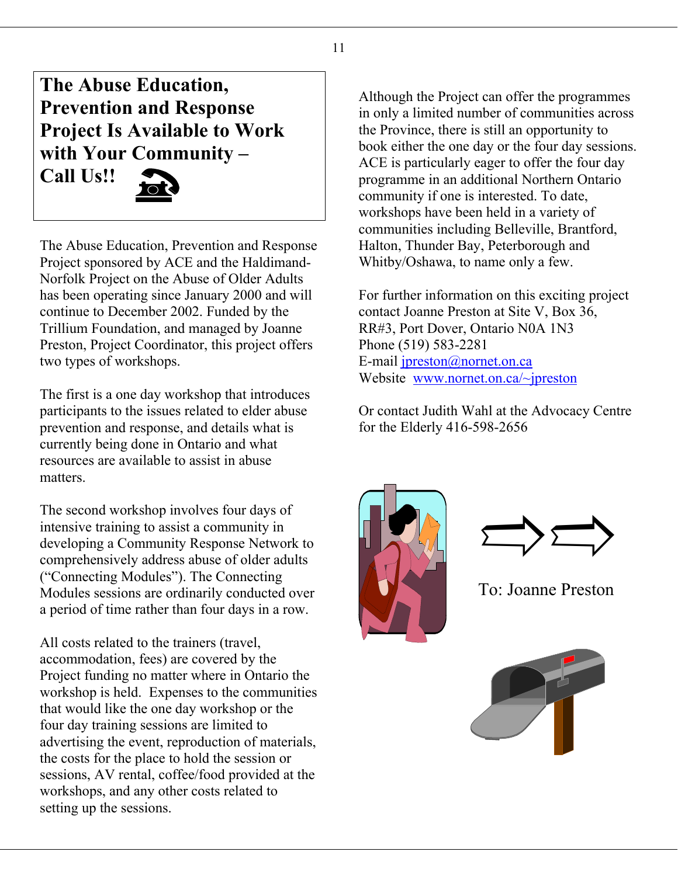**The Abuse Education, Prevention and Response Project Is Available to Work with Your Community – Call Us!!** 

The Abuse Education, Prevention and Response Project sponsored by ACE and the Haldimand-Norfolk Project on the Abuse of Older Adults has been operating since January 2000 and will continue to December 2002. Funded by the Trillium Foundation, and managed by Joanne Preston, Project Coordinator, this project offers two types of workshops.

The first is a one day workshop that introduces participants to the issues related to elder abuse prevention and response, and details what is currently being done in Ontario and what resources are available to assist in abuse matters.

The second workshop involves four days of<br>intensive training to assist a community in<br>developing a Community Response Network to<br>comprehensively address abuse of older adults<br>("Connecting Modules"). The Connecting intensive training to assist a community in developing a Community Response Network to comprehensively address abuse of older adults ("Connecting Modules"). The Connecting Modules sessions are ordinarily conducted over a period of time rather than four days in a row.

All costs related to the trainers (travel, accommodation, fees) are covered by the Project funding no matter where in Ontario the workshop is held. Expenses to the communities that would like the one day workshop or the four day training sessions are limited to advertising the event, reproduction of materials, the costs for the place to hold the session or sessions, AV rental, coffee/food provided at the workshops, and any other costs related to setting up the sessions.

Although the Project can offer the programmes in only a limited number of communities across the Province, there is still an opportunity to book either the one day or the four day sessions. ACE is particularly eager to offer the four day programme in an additional Northern Ontario community if one is interested. To date, workshops have been held in a variety of communities including Belleville, Brantford, Halton, Thunder Bay, Peterborough and Whitby/Oshawa, to name only a few.

For further information on this exciting project contact Joanne Preston at Site V, Box 36, RR#3, Port Dover, Ontario N0A 1N3 Phone (519) 583-2281 E-mail [jpreston@nornet.on.ca](mailto:jpreston@nornet.on.ca) Website [www.nornet.on.ca/~jpreston](http://www.nornet.on.ca/~jpreston)

Or contact Judith Wahl at the Advocacy Centre for the Elderly 416-598-2656





To: Joanne Preston

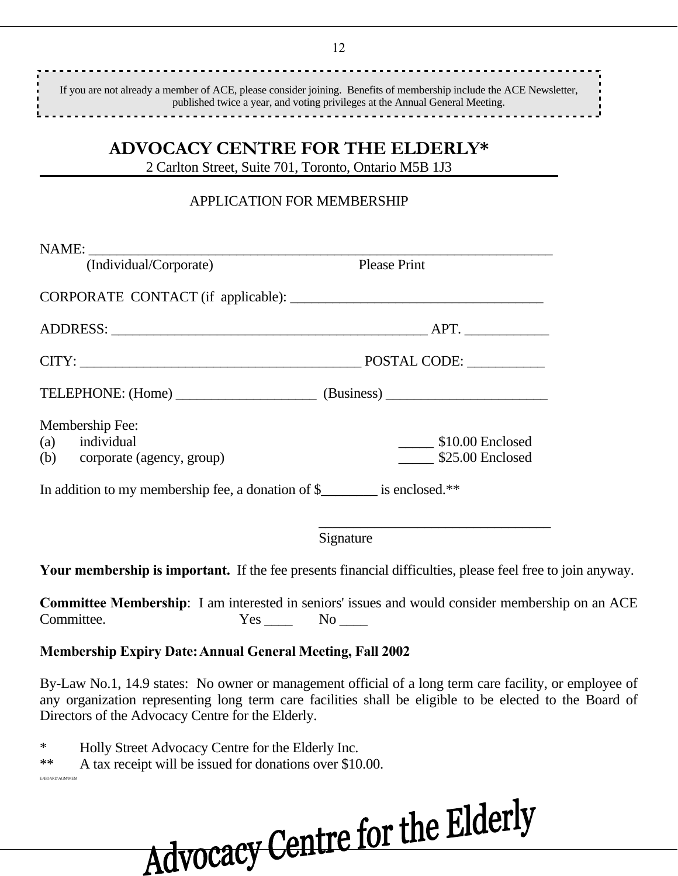............................ If you are not already a member of ACE, please consider joining. Benefits of membership include the ACE Newsletter, published twice a year, and voting privileges at the Annual General Meeting. 

### **ADVOCACY CENTRE FOR THE ELDERLY\***

2 Carlton Street, Suite 701, Toronto, Ontario M5B 1J3

#### APPLICATION FOR MEMBERSHIP

| (Individual/Corporate)                                                     | <b>Please Print</b>            |
|----------------------------------------------------------------------------|--------------------------------|
|                                                                            |                                |
|                                                                            |                                |
|                                                                            | POSTAL CODE:                   |
| TELEPHONE: (Home) (Business)                                               |                                |
| Membership Fee:                                                            |                                |
| (a) individual                                                             | $\frac{1}{2}$ \$10.00 Enclosed |
| (b) corporate (agency, group)                                              | \$25.00 Enclosed               |
| In addition to my membership fee, a donation of \$_________ is enclosed.** |                                |
|                                                                            |                                |

Signature

**Your membership is important.** If the fee presents financial difficulties, please feel free to join anyway.

**Committee Membership**: I am interested in seniors' issues and would consider membership on an ACE Committee. Yes No No

#### **Membership Expiry Date: Annual General Meeting, Fall 2002**

By-Law No.1, 14.9 states: No owner or management official of a long term care facility, or employee of any organization representing long term care facilities shall be eligible to be elected to the Board of Directors of the Advocacy Centre for the Elderly.

\* Holly Street Advocacy Centre for the Elderly Inc.

E:\BOARD\AGM\MEM

\*\* A tax receipt will be issued for donations over \$10.00.

Advocacy Centre for the Elderly